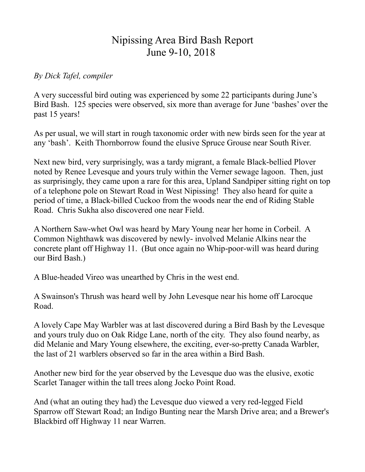## Nipissing Area Bird Bash Report June 9-10, 2018

## *By Dick Tafel, compiler*

A very successful bird outing was experienced by some 22 participants during June"s Bird Bash. 125 species were observed, six more than average for June "bashes" over the past 15 years!

As per usual, we will start in rough taxonomic order with new birds seen for the year at any "bash". Keith Thornborrow found the elusive Spruce Grouse near South River.

Next new bird, very surprisingly, was a tardy migrant, a female Black-bellied Plover noted by Renee Levesque and yours truly within the Verner sewage lagoon. Then, just as surprisingly, they came upon a rare for this area, Upland Sandpiper sitting right on top of a telephone pole on Stewart Road in West Nipissing! They also heard for quite a period of time, a Black-billed Cuckoo from the woods near the end of Riding Stable Road. Chris Sukha also discovered one near Field.

A Northern Saw-whet Owl was heard by Mary Young near her home in Corbeil. A Common Nighthawk was discovered by newly- involved Melanie Alkins near the concrete plant off Highway 11. (But once again no Whip-poor-will was heard during our Bird Bash.)

A Blue-headed Vireo was unearthed by Chris in the west end.

A Swainson's Thrush was heard well by John Levesque near his home off Larocque Road.

A lovely Cape May Warbler was at last discovered during a Bird Bash by the Levesque and yours truly duo on Oak Ridge Lane, north of the city. They also found nearby, as did Melanie and Mary Young elsewhere, the exciting, ever-so-pretty Canada Warbler, the last of 21 warblers observed so far in the area within a Bird Bash.

Another new bird for the year observed by the Levesque duo was the elusive, exotic Scarlet Tanager within the tall trees along Jocko Point Road.

And (what an outing they had) the Levesque duo viewed a very red-legged Field Sparrow off Stewart Road; an Indigo Bunting near the Marsh Drive area; and a Brewer's Blackbird off Highway 11 near Warren.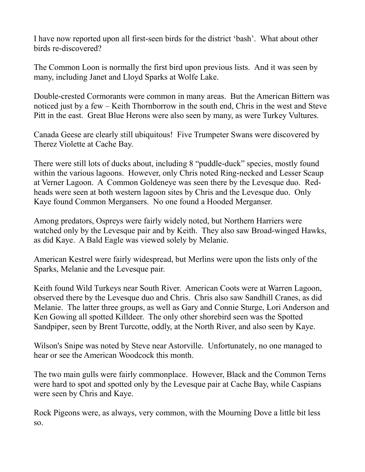I have now reported upon all first-seen birds for the district "bash". What about other birds re-discovered?

The Common Loon is normally the first bird upon previous lists. And it was seen by many, including Janet and Lloyd Sparks at Wolfe Lake.

Double-crested Cormorants were common in many areas. But the American Bittern was noticed just by a few – Keith Thornborrow in the south end, Chris in the west and Steve Pitt in the east. Great Blue Herons were also seen by many, as were Turkey Vultures.

Canada Geese are clearly still ubiquitous! Five Trumpeter Swans were discovered by Therez Violette at Cache Bay.

There were still lots of ducks about, including 8 "puddle-duck" species, mostly found within the various lagoons. However, only Chris noted Ring-necked and Lesser Scaup at Verner Lagoon. A Common Goldeneye was seen there by the Levesque duo. Redheads were seen at both western lagoon sites by Chris and the Levesque duo. Only Kaye found Common Mergansers. No one found a Hooded Merganser.

Among predators, Ospreys were fairly widely noted, but Northern Harriers were watched only by the Levesque pair and by Keith. They also saw Broad-winged Hawks, as did Kaye. A Bald Eagle was viewed solely by Melanie.

American Kestrel were fairly widespread, but Merlins were upon the lists only of the Sparks, Melanie and the Levesque pair.

Keith found Wild Turkeys near South River. American Coots were at Warren Lagoon, observed there by the Levesque duo and Chris. Chris also saw Sandhill Cranes, as did Melanie. The latter three groups, as well as Gary and Connie Sturge, Lori Anderson and Ken Gowing all spotted Killdeer. The only other shorebird seen was the Spotted Sandpiper, seen by Brent Turcotte, oddly, at the North River, and also seen by Kaye.

Wilson's Snipe was noted by Steve near Astorville. Unfortunately, no one managed to hear or see the American Woodcock this month.

The two main gulls were fairly commonplace. However, Black and the Common Terns were hard to spot and spotted only by the Levesque pair at Cache Bay, while Caspians were seen by Chris and Kaye.

Rock Pigeons were, as always, very common, with the Mourning Dove a little bit less so.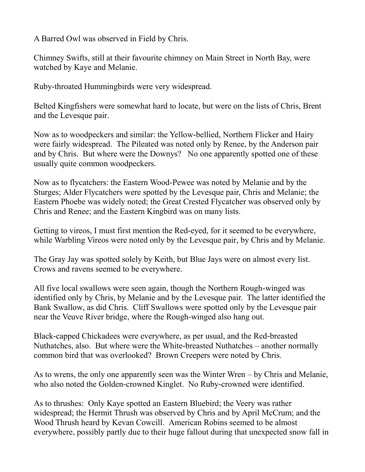A Barred Owl was observed in Field by Chris.

Chimney Swifts, still at their favourite chimney on Main Street in North Bay, were watched by Kaye and Melanie.

Ruby-throated Hummingbirds were very widespread.

Belted Kingfishers were somewhat hard to locate, but were on the lists of Chris, Brent and the Levesque pair.

Now as to woodpeckers and similar: the Yellow-bellied, Northern Flicker and Hairy were fairly widespread. The Pileated was noted only by Renee, by the Anderson pair and by Chris. But where were the Downys? No one apparently spotted one of these usually quite common woodpeckers.

Now as to flycatchers: the Eastern Wood-Pewee was noted by Melanie and by the Sturges; Alder Flycatchers were spotted by the Levesque pair, Chris and Melanie; the Eastern Phoebe was widely noted; the Great Crested Flycatcher was observed only by Chris and Renee; and the Eastern Kingbird was on many lists.

Getting to vireos, I must first mention the Red-eyed, for it seemed to be everywhere, while Warbling Vireos were noted only by the Levesque pair, by Chris and by Melanie.

The Gray Jay was spotted solely by Keith, but Blue Jays were on almost every list. Crows and ravens seemed to be everywhere.

All five local swallows were seen again, though the Northern Rough-winged was identified only by Chris, by Melanie and by the Levesque pair. The latter identified the Bank Swallow, as did Chris. Cliff Swallows were spotted only by the Levesque pair near the Veuve River bridge, where the Rough-winged also hang out.

Black-capped Chickadees were everywhere, as per usual, and the Red-breasted Nuthatches, also. But where were the White-breasted Nuthatches – another normally common bird that was overlooked? Brown Creepers were noted by Chris.

As to wrens, the only one apparently seen was the Winter Wren – by Chris and Melanie, who also noted the Golden-crowned Kinglet. No Ruby-crowned were identified.

As to thrushes: Only Kaye spotted an Eastern Bluebird; the Veery was rather widespread; the Hermit Thrush was observed by Chris and by April McCrum; and the Wood Thrush heard by Kevan Cowcill. American Robins seemed to be almost everywhere, possibly partly due to their huge fallout during that unexpected snow fall in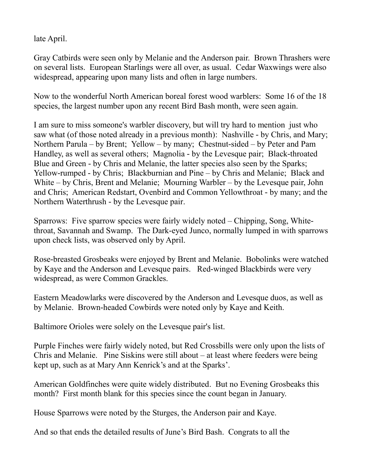late April.

Gray Catbirds were seen only by Melanie and the Anderson pair. Brown Thrashers were on several lists. European Starlings were all over, as usual. Cedar Waxwings were also widespread, appearing upon many lists and often in large numbers.

Now to the wonderful North American boreal forest wood warblers: Some 16 of the 18 species, the largest number upon any recent Bird Bash month, were seen again.

I am sure to miss someone's warbler discovery, but will try hard to mention just who saw what (of those noted already in a previous month): Nashville - by Chris, and Mary; Northern Parula – by Brent; Yellow – by many; Chestnut-sided – by Peter and Pam Handley, as well as several others; Magnolia - by the Levesque pair; Black-throated Blue and Green - by Chris and Melanie, the latter species also seen by the Sparks; Yellow-rumped - by Chris; Blackburnian and Pine – by Chris and Melanie; Black and White – by Chris, Brent and Melanie; Mourning Warbler – by the Levesque pair, John and Chris; American Redstart, Ovenbird and Common Yellowthroat - by many; and the Northern Waterthrush - by the Levesque pair.

Sparrows: Five sparrow species were fairly widely noted – Chipping, Song, Whitethroat, Savannah and Swamp. The Dark-eyed Junco, normally lumped in with sparrows upon check lists, was observed only by April.

Rose-breasted Grosbeaks were enjoyed by Brent and Melanie. Bobolinks were watched by Kaye and the Anderson and Levesque pairs. Red-winged Blackbirds were very widespread, as were Common Grackles.

Eastern Meadowlarks were discovered by the Anderson and Levesque duos, as well as by Melanie. Brown-headed Cowbirds were noted only by Kaye and Keith.

Baltimore Orioles were solely on the Levesque pair's list.

Purple Finches were fairly widely noted, but Red Crossbills were only upon the lists of Chris and Melanie. Pine Siskins were still about – at least where feeders were being kept up, such as at Mary Ann Kenrick's and at the Sparks'.

American Goldfinches were quite widely distributed. But no Evening Grosbeaks this month? First month blank for this species since the count began in January.

House Sparrows were noted by the Sturges, the Anderson pair and Kaye.

And so that ends the detailed results of June"s Bird Bash. Congrats to all the